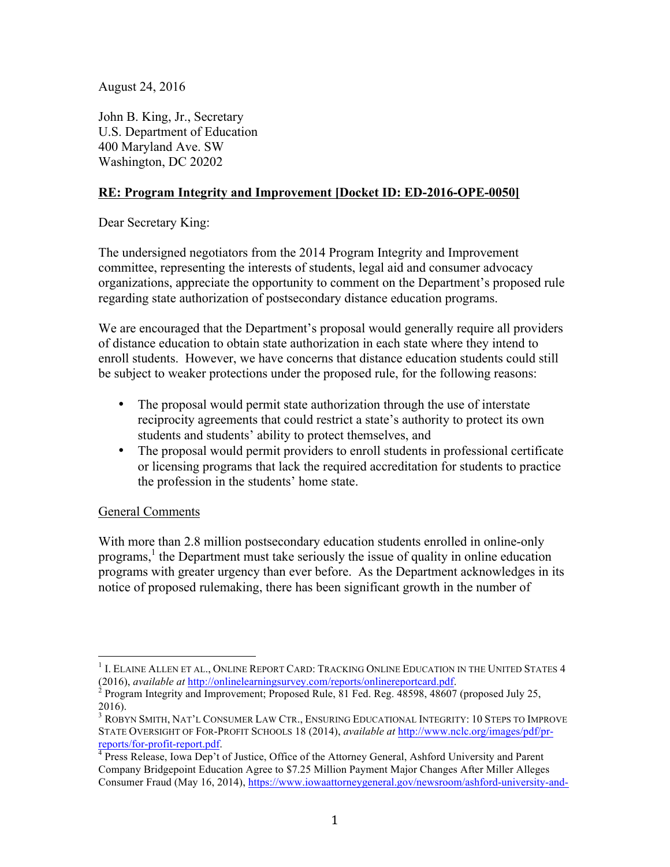August 24, 2016

John B. King, Jr., Secretary U.S. Department of Education 400 Maryland Ave. SW Washington, DC 20202

# **RE: Program Integrity and Improvement [Docket ID: ED-2016-OPE-0050]**

Dear Secretary King:

The undersigned negotiators from the 2014 Program Integrity and Improvement committee, representing the interests of students, legal aid and consumer advocacy organizations, appreciate the opportunity to comment on the Department's proposed rule regarding state authorization of postsecondary distance education programs.

We are encouraged that the Department's proposal would generally require all providers of distance education to obtain state authorization in each state where they intend to enroll students. However, we have concerns that distance education students could still be subject to weaker protections under the proposed rule, for the following reasons:

- The proposal would permit state authorization through the use of interstate reciprocity agreements that could restrict a state's authority to protect its own students and students' ability to protect themselves, and
- The proposal would permit providers to enroll students in professional certificate or licensing programs that lack the required accreditation for students to practice the profession in the students' home state.

## General Comments

With more than 2.8 million postsecondary education students enrolled in online-only programs, <sup>1</sup> the Department must take seriously the issue of quality in online education programs with greater urgency than ever before. As the Department acknowledges in its notice of proposed rulemaking, there has been significant growth in the number of

<sup>&</sup>lt;sup>1</sup> I. ELAINE ALLEN ET AL., ONLINE REPORT CARD: TRACKING ONLINE EDUCATION IN THE UNITED STATES 4 (2016), *available at http://onlinelearningsurvey.com/reports/onlinereportcard.pdf.* 

<sup>&</sup>lt;sup>2</sup> Program Integrity and Improvement; Proposed Rule, 81 Fed. Reg. 48598, 48607 (proposed July 25, 2016).

<sup>3</sup> ROBYN SMITH, NAT'L CONSUMER LAW CTR., ENSURING EDUCATIONAL INTEGRITY: 10 STEPS TO IMPROVE STATE OVERSIGHT OF FOR-PROFIT SCHOOLS 18 (2014), *available at* http://www.nclc.org/images/pdf/pr-

reports/for-profit-report.pdf. 4 Press Release, Iowa Dep't of Justice, Office of the Attorney General, Ashford University and Parent Company Bridgepoint Education Agree to \$7.25 Million Payment Major Changes After Miller Alleges Consumer Fraud (May 16, 2014), https://www.iowaattorneygeneral.gov/newsroom/ashford-university-and-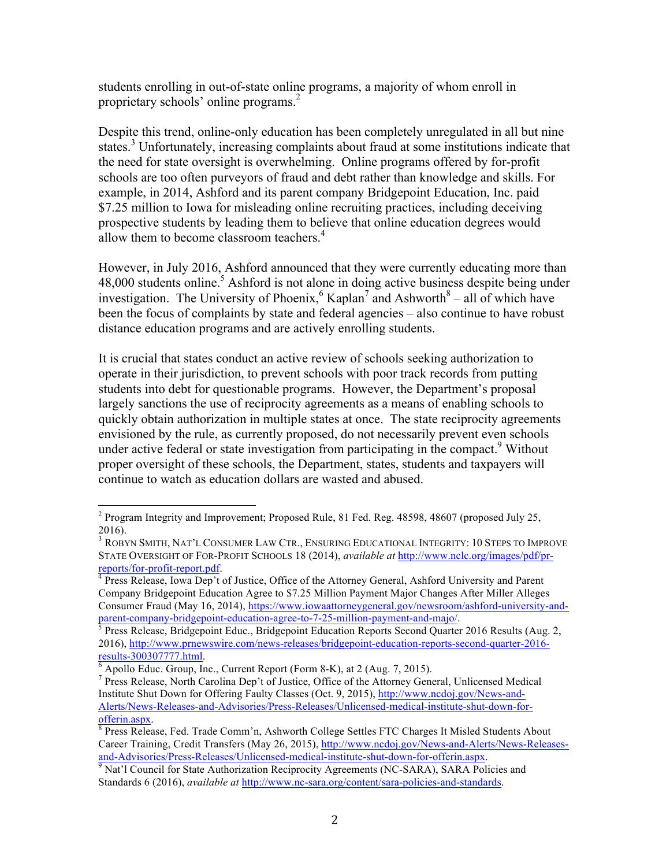students enrolling in out-of-state online programs, a majority of whom enroll in proprietary schools' online programs.<sup>2</sup>

Despite this trend, online-only education has been completely unregulated in all but nine states.<sup>3</sup> Unfortunately, increasing complaints about fraud at some institutions indicate that the need for state oversight is overwhelming. Online programs offered by for-profit schools are too often purveyors of fraud and debt rather than knowledge and skills. For example, in 2014, Ashford and its parent company Bridgepoint Education, Inc. paid \$7.25 million to Iowa for misleading online recruiting practices, including deceiving prospective students by leading them to believe that online education degrees would allow them to become classroom teachers.<sup>4</sup>

However, in July 2016, Ashford announced that they were currently educating more than 48,000 students online.<sup>5</sup> Ashford is not alone in doing active business despite being under investigation. The University of Phoenix,  $6 \text{ Kaplan}^7$  and Ashworth  $8 -$  all of which have been the focus of complaints by state and federal agencies – also continue to have robust distance education programs and are actively enrolling students.

It is crucial that states conduct an active review of schools seeking authorization to operate in their jurisdiction, to prevent schools with poor track records from putting students into debt for questionable programs. However, the Department's proposal largely sanctions the use of reciprocity agreements as a means of enabling schools to quickly obtain authorization in multiple states at once. The state reciprocity agreements envisioned by the rule, as currently proposed, do not necessarily prevent even schools under active federal or state investigation from participating in the compact.<sup>9</sup> Without proper oversight of these schools, the Department, states, students and taxpayers will continue to watch as education dollars are wasted and abused.

 $2$  Program Integrity and Improvement; Proposed Rule, 81 Fed. Reg. 48598, 48607 (proposed July 25, 2016).

<sup>3</sup> ROBYN SMITH, NAT'L CONSUMER LAW CTR., ENSURING EDUCATIONAL INTEGRITY: 10 STEPS TO IMPROVE STATE OVERSIGHT OF FOR-PROFIT SCHOOLS 18 (2014), *available at* http://www.nclc.org/images/pdf/prreports/for-profit-report.pdf.<br><sup>4</sup> Press Release, Iowa Dep't of Justice, Office of the Attorney General, Ashford University and Parent

Company Bridgepoint Education Agree to \$7.25 Million Payment Major Changes After Miller Alleges Consumer Fraud (May 16, 2014), https://www.iowaattorneygeneral.gov/newsroom/ashford-university-andparent-company-bridgepoint-education-agree-to-7-25-million-payment-and-majo/.<br><sup>5</sup> Press Release, Bridgepoint Educ., Bridgepoint Education Reports Second Quarter 2016 Results (Aug. 2,

<sup>2016),</sup> http://www.prnewswire.com/news-releases/bridgepoint-education-reports-second-quarter-2016-<br>results-300307777.html.

 $\frac{6}{9}$  Apollo Educ. Group, Inc., Current Report (Form 8-K), at 2 (Aug. 7, 2015). 7 Press Release, North Carolina Dep't of Justice, Office of the Attorney General, Unlicensed Medical Institute Shut Down for Offering Faulty Classes (Oct. 9, 2015), http://www.ncdoj.gov/News-and-Alerts/News-Releases-and-Advisories/Press-Releases/Unlicensed-medical-institute-shut-down-forofferin.aspx.<br><sup>8</sup> Press Release, Fed. Trade Comm'n, Ashworth College Settles FTC Charges It Misled Students About

Career Training, Credit Transfers (May 26, 2015), http://www.ncdoj.gov/News-and-Alerts/News-Releasesand-Advisories/Press-Releases/Unlicensed-medical-institute-shut-down-for-offerin.aspx.<br><sup>9</sup> Nat'l Council for State Authorization Reciprocity Agreements (NC-SARA), SARA Policies and

Standards 6 (2016), *available at* http://www.nc-sara.org/content/sara-policies-and-standards.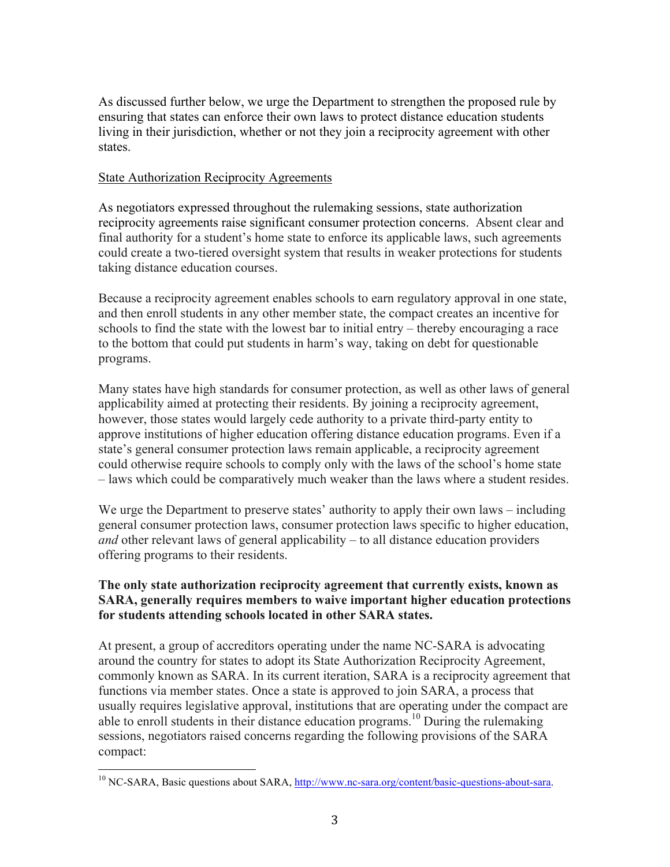As discussed further below, we urge the Department to strengthen the proposed rule by ensuring that states can enforce their own laws to protect distance education students living in their jurisdiction, whether or not they join a reciprocity agreement with other states.

#### State Authorization Reciprocity Agreements

As negotiators expressed throughout the rulemaking sessions, state authorization reciprocity agreements raise significant consumer protection concerns. Absent clear and final authority for a student's home state to enforce its applicable laws, such agreements could create a two-tiered oversight system that results in weaker protections for students taking distance education courses.

Because a reciprocity agreement enables schools to earn regulatory approval in one state, and then enroll students in any other member state, the compact creates an incentive for schools to find the state with the lowest bar to initial entry – thereby encouraging a race to the bottom that could put students in harm's way, taking on debt for questionable programs.

Many states have high standards for consumer protection, as well as other laws of general applicability aimed at protecting their residents. By joining a reciprocity agreement, however, those states would largely cede authority to a private third-party entity to approve institutions of higher education offering distance education programs. Even if a state's general consumer protection laws remain applicable, a reciprocity agreement could otherwise require schools to comply only with the laws of the school's home state – laws which could be comparatively much weaker than the laws where a student resides.

We urge the Department to preserve states' authority to apply their own laws – including general consumer protection laws, consumer protection laws specific to higher education, *and* other relevant laws of general applicability – to all distance education providers offering programs to their residents.

## **The only state authorization reciprocity agreement that currently exists, known as SARA, generally requires members to waive important higher education protections for students attending schools located in other SARA states.**

At present, a group of accreditors operating under the name NC-SARA is advocating around the country for states to adopt its State Authorization Reciprocity Agreement, commonly known as SARA. In its current iteration, SARA is a reciprocity agreement that functions via member states. Once a state is approved to join SARA, a process that usually requires legislative approval, institutions that are operating under the compact are able to enroll students in their distance education programs.<sup>10</sup> During the rulemaking sessions, negotiators raised concerns regarding the following provisions of the SARA compact:

<sup>&</sup>lt;sup>10</sup> NC-SARA, Basic questions about SARA, http://www.nc-sara.org/content/basic-questions-about-sara.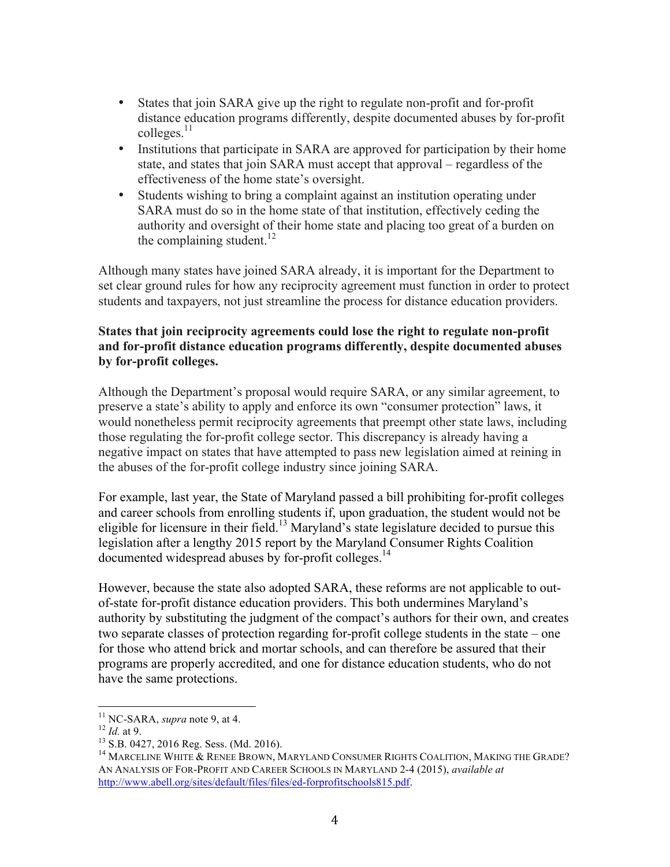- States that join SARA give up the right to regulate non-profit and for-profit distance education programs differently, despite documented abuses by for-profit  $\text{colleges.}^{11}$
- Institutions that participate in SARA are approved for participation by their home state, and states that join SARA must accept that approval – regardless of the effectiveness of the home state's oversight.
- Students wishing to bring a complaint against an institution operating under SARA must do so in the home state of that institution, effectively ceding the authority and oversight of their home state and placing too great of a burden on the complaining student.<sup>12</sup>

Although many states have joined SARA already, it is important for the Department to set clear ground rules for how any reciprocity agreement must function in order to protect students and taxpayers, not just streamline the process for distance education providers.

### **States that join reciprocity agreements could lose the right to regulate non-profit and for-profit distance education programs differently, despite documented abuses by for-profit colleges.**

Although the Department's proposal would require SARA, or any similar agreement, to preserve a state's ability to apply and enforce its own "consumer protection" laws, it would nonetheless permit reciprocity agreements that preempt other state laws, including those regulating the for-profit college sector. This discrepancy is already having a negative impact on states that have attempted to pass new legislation aimed at reining in the abuses of the for-profit college industry since joining SARA.

For example, last year, the State of Maryland passed a bill prohibiting for-profit colleges and career schools from enrolling students if, upon graduation, the student would not be eligible for licensure in their field.<sup>13</sup> Maryland's state legislature decided to pursue this legislation after a lengthy 2015 report by the Maryland Consumer Rights Coalition documented widespread abuses by for-profit colleges.<sup>14</sup>

However, because the state also adopted SARA, these reforms are not applicable to outof-state for-profit distance education providers. This both undermines Maryland's authority by substituting the judgment of the compact's authors for their own, and creates two separate classes of protection regarding for-profit college students in the state – one for those who attend brick and mortar schools, and can therefore be assured that their programs are properly accredited, and one for distance education students, who do not have the same protections.

<sup>&</sup>lt;sup>11</sup> NC-SARA, *supra* note 9, at 4.<br><sup>12</sup> *Id.* at 9. 13 S.B. 0427, 2016 Reg. Sess. (Md. 2016). <sup>13</sup> S.B. 0427, 2016 Reg. Sess. (Md. 2016). <sup>14</sup> MARCELINE WHITE & RENEE BROWN, MARYLAND CONSUMER RIGHTS COALITION, MAKING THE AN ANALYSIS OF FOR-PROFIT AND CAREER SCHOOLS IN MARYLAND 2-4 (2015), *available at* http://www.abell.org/sites/default/files/files/ed-forprofitschools815.pdf.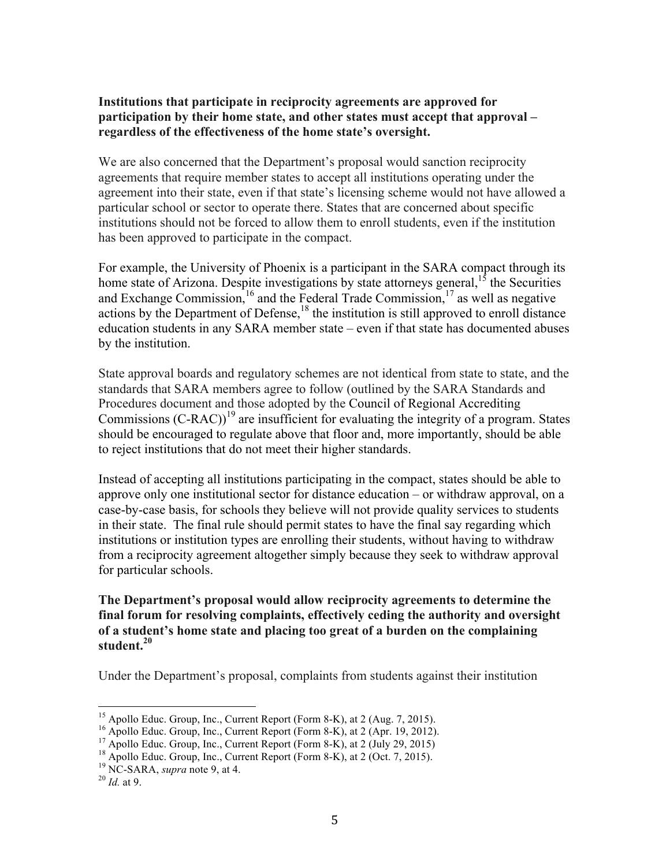### **Institutions that participate in reciprocity agreements are approved for participation by their home state, and other states must accept that approval – regardless of the effectiveness of the home state's oversight.**

We are also concerned that the Department's proposal would sanction reciprocity agreements that require member states to accept all institutions operating under the agreement into their state, even if that state's licensing scheme would not have allowed a particular school or sector to operate there. States that are concerned about specific institutions should not be forced to allow them to enroll students, even if the institution has been approved to participate in the compact.

For example, the University of Phoenix is a participant in the SARA compact through its home state of Arizona. Despite investigations by state attorneys general,  $1<sup>5</sup>$  the Securities and Exchange Commission,  $^{16}$  and the Federal Trade Commission,  $^{17}$  as well as negative actions by the Department of Defense,<sup>18</sup> the institution is still approved to enroll distance education students in any SARA member state – even if that state has documented abuses by the institution.

State approval boards and regulatory schemes are not identical from state to state, and the standards that SARA members agree to follow (outlined by the SARA Standards and Procedures document and those adopted by the Council of Regional Accrediting Commissions  $(C-RAC)$ <sup>19</sup> are insufficient for evaluating the integrity of a program. States should be encouraged to regulate above that floor and, more importantly, should be able to reject institutions that do not meet their higher standards.

Instead of accepting all institutions participating in the compact, states should be able to approve only one institutional sector for distance education – or withdraw approval, on a case-by-case basis, for schools they believe will not provide quality services to students in their state. The final rule should permit states to have the final say regarding which institutions or institution types are enrolling their students, without having to withdraw from a reciprocity agreement altogether simply because they seek to withdraw approval for particular schools.

### **The Department's proposal would allow reciprocity agreements to determine the final forum for resolving complaints, effectively ceding the authority and oversight of a student's home state and placing too great of a burden on the complaining student.<sup>20</sup>**

Under the Department's proposal, complaints from students against their institution

<sup>&</sup>lt;sup>15</sup> Apollo Educ. Group, Inc., Current Report (Form 8-K), at 2 (Aug. 7, 2015).<br><sup>16</sup> Apollo Educ. Group, Inc., Current Report (Form 8-K), at 2 (Apr. 19, 2012).<br><sup>17</sup> Apollo Educ. Group, Inc., Current Report (Form 8-K), at 2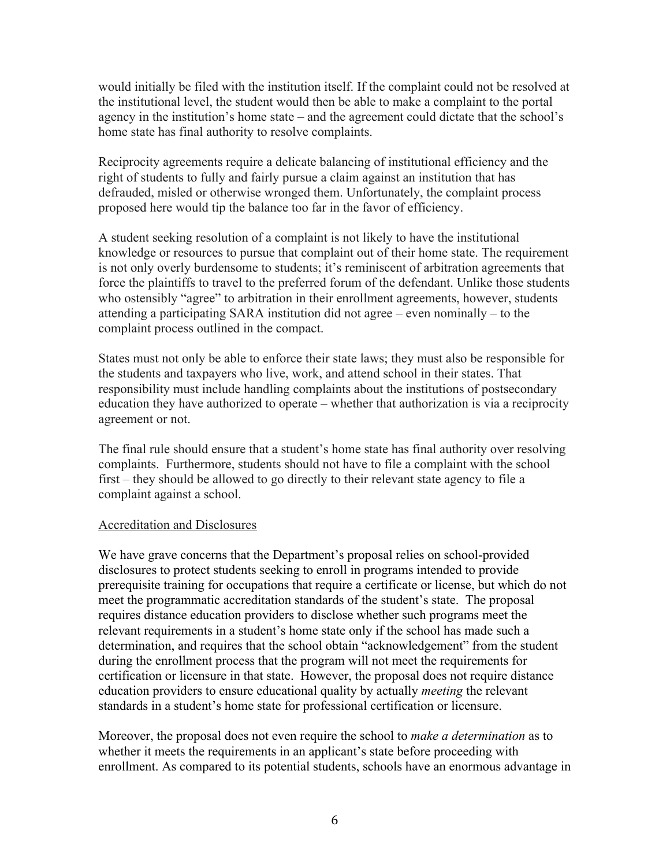would initially be filed with the institution itself. If the complaint could not be resolved at the institutional level, the student would then be able to make a complaint to the portal agency in the institution's home state – and the agreement could dictate that the school's home state has final authority to resolve complaints.

Reciprocity agreements require a delicate balancing of institutional efficiency and the right of students to fully and fairly pursue a claim against an institution that has defrauded, misled or otherwise wronged them. Unfortunately, the complaint process proposed here would tip the balance too far in the favor of efficiency.

A student seeking resolution of a complaint is not likely to have the institutional knowledge or resources to pursue that complaint out of their home state. The requirement is not only overly burdensome to students; it's reminiscent of arbitration agreements that force the plaintiffs to travel to the preferred forum of the defendant. Unlike those students who ostensibly "agree" to arbitration in their enrollment agreements, however, students attending a participating SARA institution did not agree – even nominally – to the complaint process outlined in the compact.

States must not only be able to enforce their state laws; they must also be responsible for the students and taxpayers who live, work, and attend school in their states. That responsibility must include handling complaints about the institutions of postsecondary education they have authorized to operate – whether that authorization is via a reciprocity agreement or not.

The final rule should ensure that a student's home state has final authority over resolving complaints. Furthermore, students should not have to file a complaint with the school first – they should be allowed to go directly to their relevant state agency to file a complaint against a school.

#### Accreditation and Disclosures

We have grave concerns that the Department's proposal relies on school-provided disclosures to protect students seeking to enroll in programs intended to provide prerequisite training for occupations that require a certificate or license, but which do not meet the programmatic accreditation standards of the student's state. The proposal requires distance education providers to disclose whether such programs meet the relevant requirements in a student's home state only if the school has made such a determination, and requires that the school obtain "acknowledgement" from the student during the enrollment process that the program will not meet the requirements for certification or licensure in that state. However, the proposal does not require distance education providers to ensure educational quality by actually *meeting* the relevant standards in a student's home state for professional certification or licensure.

Moreover, the proposal does not even require the school to *make a determination* as to whether it meets the requirements in an applicant's state before proceeding with enrollment. As compared to its potential students, schools have an enormous advantage in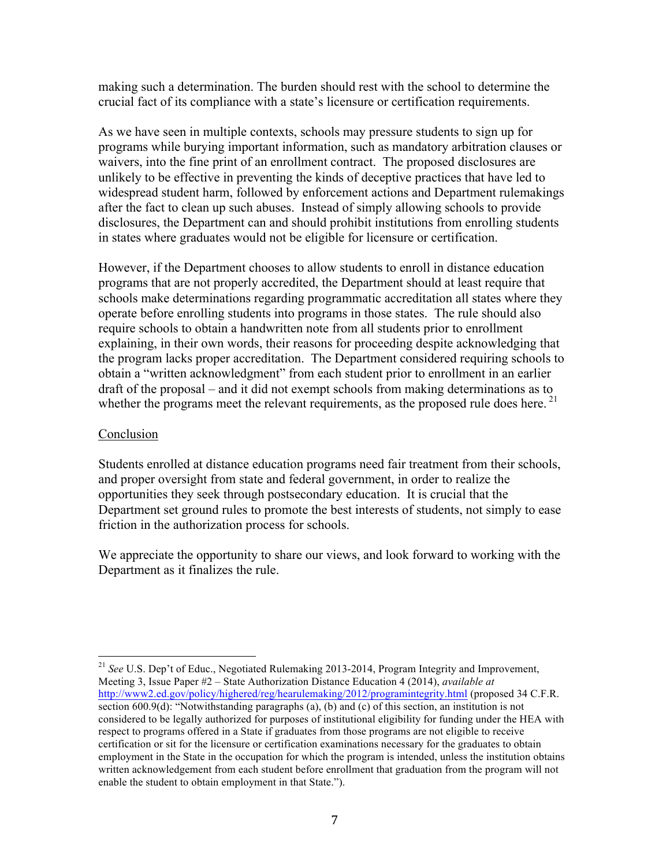making such a determination. The burden should rest with the school to determine the crucial fact of its compliance with a state's licensure or certification requirements.

As we have seen in multiple contexts, schools may pressure students to sign up for programs while burying important information, such as mandatory arbitration clauses or waivers, into the fine print of an enrollment contract. The proposed disclosures are unlikely to be effective in preventing the kinds of deceptive practices that have led to widespread student harm, followed by enforcement actions and Department rulemakings after the fact to clean up such abuses. Instead of simply allowing schools to provide disclosures, the Department can and should prohibit institutions from enrolling students in states where graduates would not be eligible for licensure or certification.

However, if the Department chooses to allow students to enroll in distance education programs that are not properly accredited, the Department should at least require that schools make determinations regarding programmatic accreditation all states where they operate before enrolling students into programs in those states. The rule should also require schools to obtain a handwritten note from all students prior to enrollment explaining, in their own words, their reasons for proceeding despite acknowledging that the program lacks proper accreditation. The Department considered requiring schools to obtain a "written acknowledgment" from each student prior to enrollment in an earlier draft of the proposal – and it did not exempt schools from making determinations as to whether the programs meet the relevant requirements, as the proposed rule does here.<sup>21</sup>

#### Conclusion

Students enrolled at distance education programs need fair treatment from their schools, and proper oversight from state and federal government, in order to realize the opportunities they seek through postsecondary education. It is crucial that the Department set ground rules to promote the best interests of students, not simply to ease friction in the authorization process for schools.

We appreciate the opportunity to share our views, and look forward to working with the Department as it finalizes the rule.

 <sup>21</sup> *See* U.S. Dep't of Educ., Negotiated Rulemaking 2013-2014, Program Integrity and Improvement, Meeting 3, Issue Paper #2 – State Authorization Distance Education 4 (2014), *available at* http://www2.ed.gov/policy/highered/reg/hearulemaking/2012/programintegrity.html (proposed 34 C.F.R. section  $600.9(d)$ : "Notwithstanding paragraphs (a), (b) and (c) of this section, an institution is not considered to be legally authorized for purposes of institutional eligibility for funding under the HEA with respect to programs offered in a State if graduates from those programs are not eligible to receive certification or sit for the licensure or certification examinations necessary for the graduates to obtain employment in the State in the occupation for which the program is intended, unless the institution obtains written acknowledgement from each student before enrollment that graduation from the program will not enable the student to obtain employment in that State.").